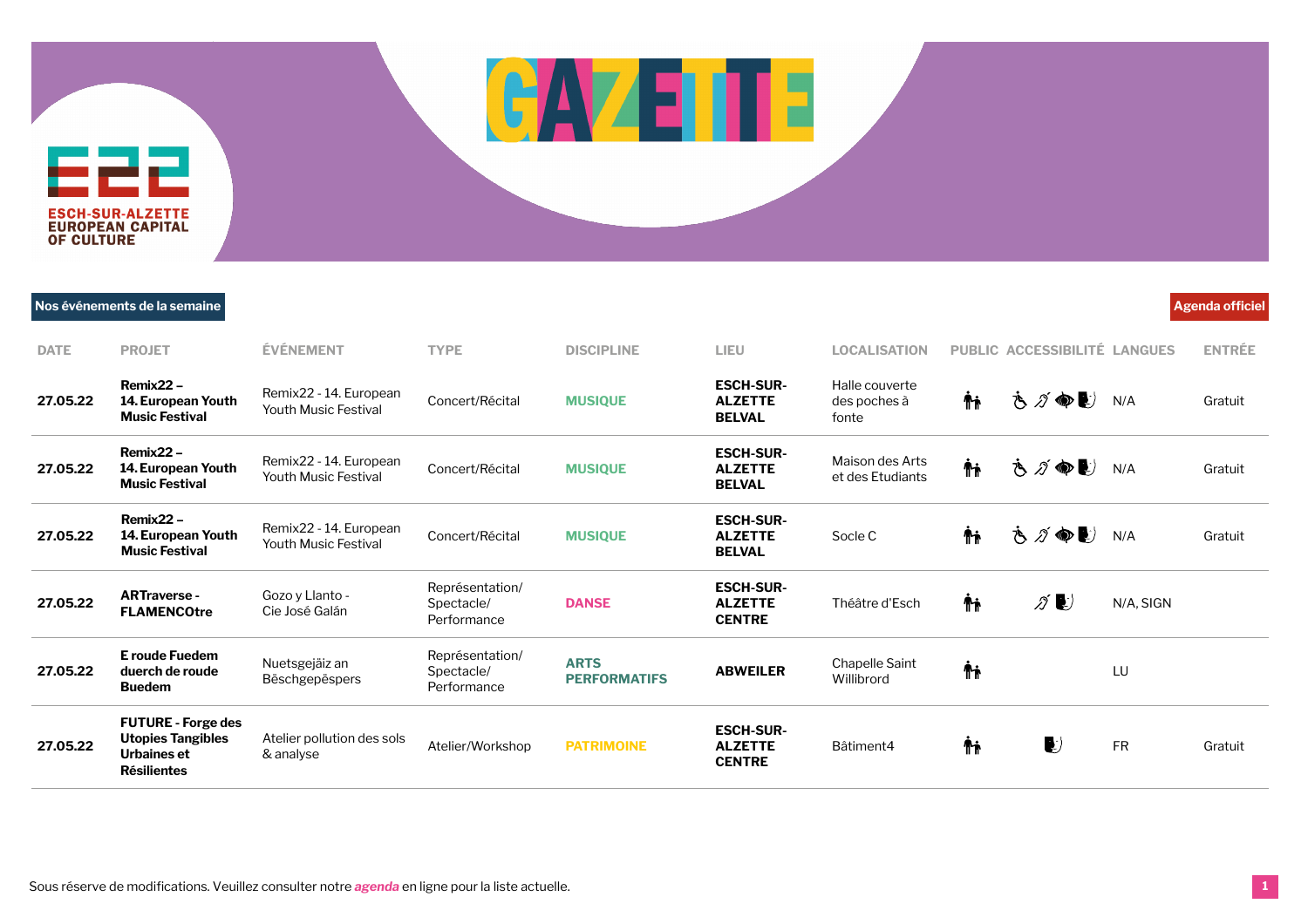## **DATE PROJET ÉVÉNEMENT TYPE DISCIPLINE LIEU LOCALISATION PUBLIC ACCESSIBILITÉ LANGUES ENTRÉE**

드근근 **ESCH-SUR-ALZETTE**<br>EUROPEAN CAPITAL **OF CULTURE** 

**Nos événements de la semaine Agenda officiel**

| <b>DATE</b> | <b>PROJET</b>                                                                              | <b>ÉVÉNEMENT</b>                                      | <b>TYPE</b>                                  | <b>DISCIPLINE</b>                  | LIEU                                                | <b>LOCALISATION</b>                     |    | PUBLIC ACCESSIBILITÉ LANGUES       |           | <b>ENTRÉE</b> |
|-------------|--------------------------------------------------------------------------------------------|-------------------------------------------------------|----------------------------------------------|------------------------------------|-----------------------------------------------------|-----------------------------------------|----|------------------------------------|-----------|---------------|
| 27.05.22    | Remix22-<br>14. European Youth<br><b>Music Festival</b>                                    | Remix22 - 14. European<br><b>Youth Music Festival</b> | Concert/Récital                              | <b>MUSIQUE</b>                     | <b>ESCH-SUR-</b><br><b>ALZETTE</b><br><b>BELVAL</b> | Halle couverte<br>des poches à<br>fonte | ŤŤ | さづゆし                               | N/A       | Gratuit       |
| 27.05.22    | Remix22-<br>14. European Youth<br><b>Music Festival</b>                                    | Remix22 - 14. European<br><b>Youth Music Festival</b> | Concert/Récital                              | <b>MUSIQUE</b>                     | <b>ESCH-SUR-</b><br><b>ALZETTE</b><br><b>BELVAL</b> | Maison des Arts<br>et des Etudiants     | Ψŗ | さづゆし                               | N/A       | Gratuit       |
| 27.05.22    | Remix22-<br>14. European Youth<br><b>Music Festival</b>                                    | Remix22 - 14. European<br><b>Youth Music Festival</b> | Concert/Récital                              | <b>MUSIQUE</b>                     | <b>ESCH-SUR-</b><br><b>ALZETTE</b><br><b>BELVAL</b> | Socle C                                 | Ťŧ | さづゆし                               | N/A       | Gratuit       |
| 27.05.22    | <b>ARTraverse-</b><br><b>FLAMENCOtre</b>                                                   | Gozo y Llanto -<br>Cie José Galán                     | Représentation/<br>Spectacle/<br>Performance | <b>DANSE</b>                       | <b>ESCH-SUR-</b><br><b>ALZETTE</b><br><b>CENTRE</b> | Théâtre d'Esch                          | Ψŗ | $\mathscr{D}$                      | N/A, SIGN |               |
| 27.05.22    | E roude Fuedem<br>duerch de roude<br><b>Buedem</b>                                         | Nuetsgejäiz an<br>Bëschgepëspers                      | Représentation/<br>Spectacle/<br>Performance | <b>ARTS</b><br><b>PERFORMATIFS</b> | <b>ABWEILER</b>                                     | Chapelle Saint<br>Willibrord            | Ψŗ |                                    | LU        |               |
| 27.05.22    | <b>FUTURE - Forge des</b><br><b>Utopies Tangibles</b><br>Urbaines et<br><b>Résilientes</b> | Atelier pollution des sols<br>& analyse               | Atelier/Workshop                             | <b>PATRIMOINE</b>                  | <b>ESCH-SUR-</b><br><b>ALZETTE</b><br><b>CENTRE</b> | Bâtiment4                               | Ψŗ | $\left\langle \cdot \right\rangle$ | <b>FR</b> | Gratuit       |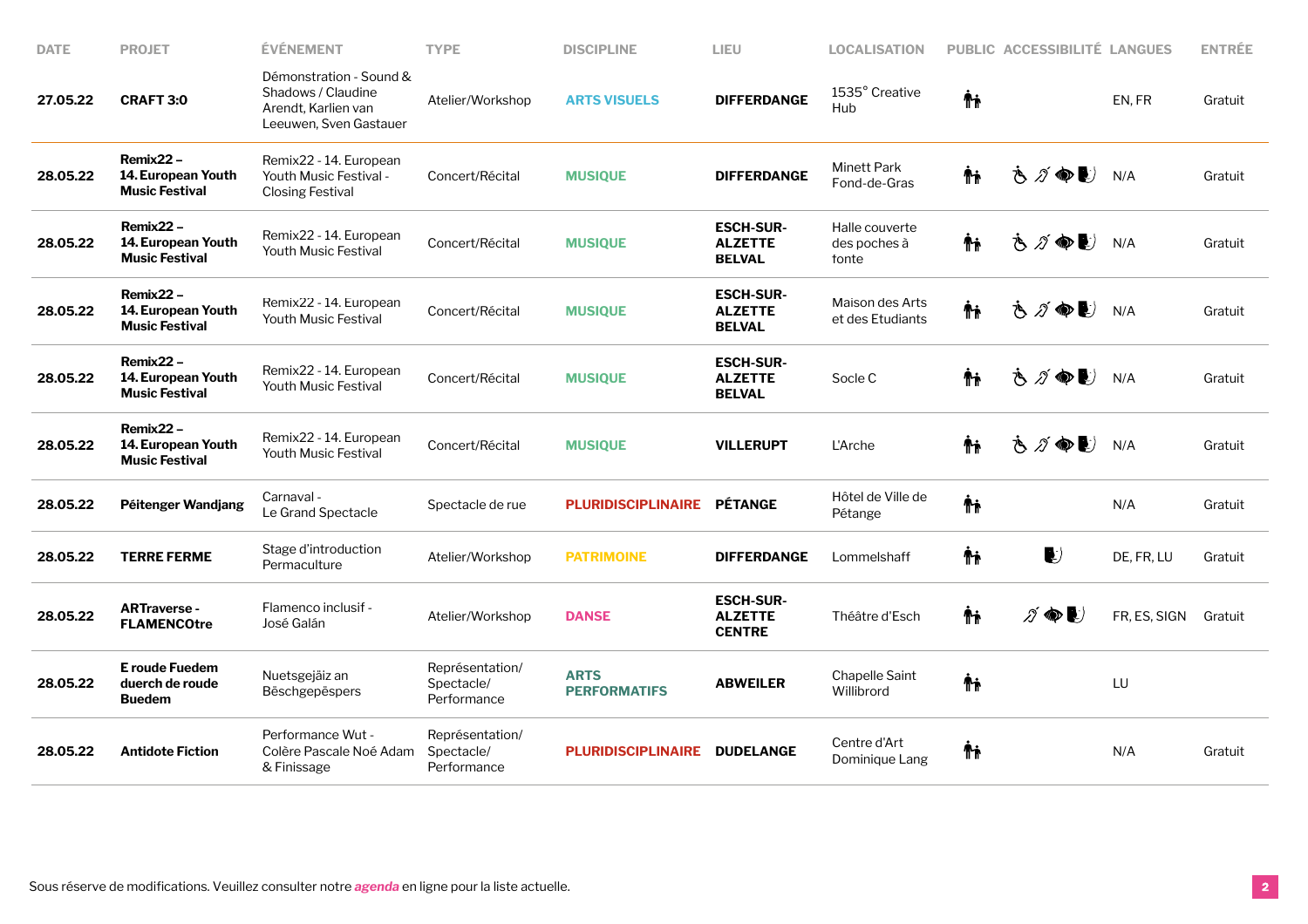| <b>DATE</b> | <b>PROJET</b>                                              | <b>ÉVÉNEMENT</b>                                                                               | <b>TYPE</b>                                  | <b>DISCIPLINE</b>                  | LIEU                                                | <b>LOCALISATION</b>                     |    | PUBLIC ACCESSIBILITÉ LANGUES |              | <b>ENTRÉE</b> |
|-------------|------------------------------------------------------------|------------------------------------------------------------------------------------------------|----------------------------------------------|------------------------------------|-----------------------------------------------------|-----------------------------------------|----|------------------------------|--------------|---------------|
| 27.05.22    | <b>CRAFT 3:0</b>                                           | Démonstration - Sound &<br>Shadows / Claudine<br>Arendt, Karlien van<br>Leeuwen, Sven Gastauer | Atelier/Workshop                             | <b>ARTS VISUELS</b>                | <b>DIFFERDANGE</b>                                  | 1535° Creative<br>Hub                   | Ψŗ |                              | EN.FR        | Gratuit       |
| 28.05.22    | Remix22-<br>14. European Youth<br><b>Music Festival</b>    | Remix22 - 14. European<br>Youth Music Festival -<br><b>Closing Festival</b>                    | Concert/Récital                              | <b>MUSIQUE</b>                     | <b>DIFFERDANGE</b>                                  | <b>Minett Park</b><br>Fond-de-Gras      | Ψŗ | さグ●し                         | N/A          | Gratuit       |
| 28.05.22    | $Remix22 -$<br>14. European Youth<br><b>Music Festival</b> | Remix22 - 14. European<br><b>Youth Music Festival</b>                                          | Concert/Récital                              | <b>MUSIQUE</b>                     | <b>ESCH-SUR-</b><br><b>ALZETTE</b><br><b>BELVAL</b> | Halle couverte<br>des poches à<br>fonte | Ψŗ | さづゆし                         | N/A          | Gratuit       |
| 28.05.22    | Remix22 -<br>14. European Youth<br><b>Music Festival</b>   | Remix22 - 14. European<br><b>Youth Music Festival</b>                                          | Concert/Récital                              | <b>MUSIQUE</b>                     | <b>ESCH-SUR-</b><br><b>ALZETTE</b><br><b>BELVAL</b> | Maison des Arts<br>et des Etudiants     | Ψŗ | さグゆし                         | N/A          | Gratuit       |
| 28.05.22    | $Remix22 -$<br>14. European Youth<br><b>Music Festival</b> | Remix22 - 14. European<br><b>Youth Music Festival</b>                                          | Concert/Récital                              | <b>MUSIQUE</b>                     | <b>ESCH-SUR-</b><br><b>ALZETTE</b><br><b>BELVAL</b> | Socle C                                 | Ψŗ | さグ●■                         | N/A          | Gratuit       |
| 28.05.22    | Remix22-<br>14. European Youth<br><b>Music Festival</b>    | Remix22 - 14. European<br><b>Youth Music Festival</b>                                          | Concert/Récital                              | <b>MUSIQUE</b>                     | <b>VILLERUPT</b>                                    | L'Arche                                 | Ψŗ | さが●し                         | N/A          | Gratuit       |
| 28.05.22    | Péitenger Wandjang                                         | Carnaval -<br>Le Grand Spectacle                                                               | Spectacle de rue                             | <b>PLURIDISCIPLINAIRE</b>          | <b>PÉTANGE</b>                                      | Hôtel de Ville de<br>Pétange            | Ψŗ |                              | N/A          | Gratuit       |
| 28.05.22    | <b>TERRE FERME</b>                                         | Stage d'introduction<br>Permaculture                                                           | Atelier/Workshop                             | <b>PATRIMOINE</b>                  | <b>DIFFERDANGE</b>                                  | Lommelshaff                             | Ψŗ | $\bullet$                    | DE, FR, LU   | Gratuit       |
| 28.05.22    | <b>ARTraverse -</b><br><b>FLAMENCOtre</b>                  | Flamenco inclusif -<br>José Galán                                                              | Atelier/Workshop                             | <b>DANSE</b>                       | <b>ESCH-SUR-</b><br><b>ALZETTE</b><br><b>CENTRE</b> | Théâtre d'Esch                          | Ψŗ | $\n  D$                      | FR, ES, SIGN | Gratuit       |
| 28.05.22    | <b>E</b> roude Fuedem<br>duerch de roude<br><b>Buedem</b>  | Nuetsgejäiz an<br>Bëschgepëspers                                                               | Représentation/<br>Spectacle/<br>Performance | <b>ARTS</b><br><b>PERFORMATIFS</b> | <b>ABWEILER</b>                                     | Chapelle Saint<br>Willibrord            | Ψŗ |                              | LU           |               |
| 28.05.22    | <b>Antidote Fiction</b>                                    | Performance Wut -<br>Colère Pascale Noé Adam<br>& Finissage                                    | Représentation/<br>Spectacle/<br>Performance | <b>PLURIDISCIPLINAIRE</b>          | <b>DUDELANGE</b>                                    | Centre d'Art<br>Dominique Lang          | Ψŗ |                              | N/A          | Gratuit       |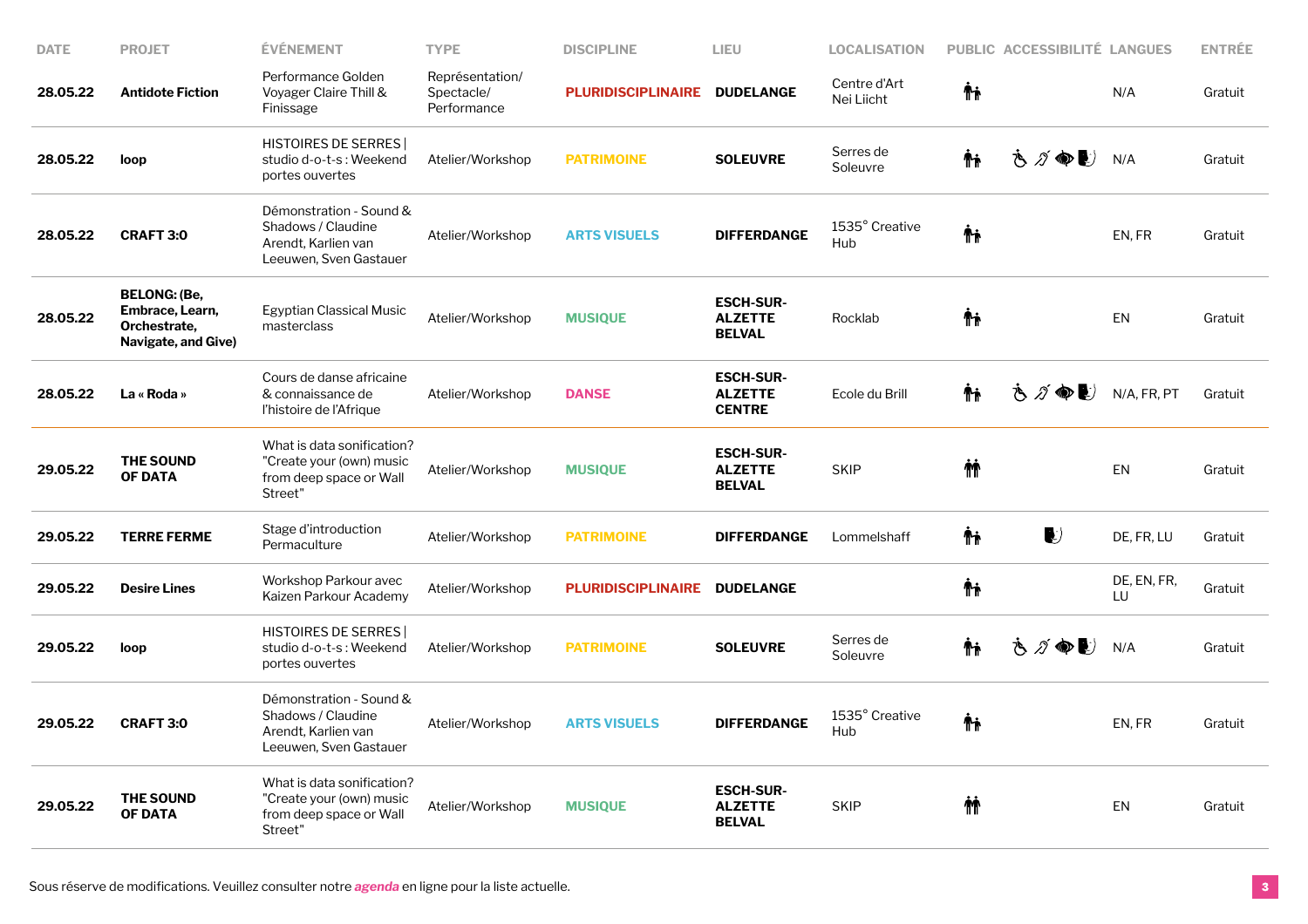| <b>DATE</b> | <b>PROJET</b>                                                                 | <b>ÉVÉNEMENT</b>                                                                               | <b>TYPE</b>                                  | <b>DISCIPLINE</b>         | LIEU                                                | <b>LOCALISATION</b>        |    | PUBLIC ACCESSIBILITÉ LANGUES |                   | <b>ENTRÉE</b> |
|-------------|-------------------------------------------------------------------------------|------------------------------------------------------------------------------------------------|----------------------------------------------|---------------------------|-----------------------------------------------------|----------------------------|----|------------------------------|-------------------|---------------|
| 28.05.22    | <b>Antidote Fiction</b>                                                       | Performance Golden<br>Voyager Claire Thill &<br>Finissage                                      | Représentation/<br>Spectacle/<br>Performance | <b>PLURIDISCIPLINAIRE</b> | <b>DUDELANGE</b>                                    | Centre d'Art<br>Nei Liicht | Ψŗ |                              | N/A               | Gratuit       |
| 28.05.22    | loop                                                                          | HISTOIRES DE SERRES  <br>studio d-o-t-s: Weekend<br>portes ouvertes                            | Atelier/Workshop                             | <b>PATRIMOINE</b>         | <b>SOLEUVRE</b>                                     | Serres de<br>Soleuvre      | Ψŗ | さグ●シ                         | N/A               | Gratuit       |
| 28.05.22    | <b>CRAFT 3:0</b>                                                              | Démonstration - Sound &<br>Shadows / Claudine<br>Arendt, Karlien van<br>Leeuwen, Sven Gastauer | Atelier/Workshop                             | <b>ARTS VISUELS</b>       | <b>DIFFERDANGE</b>                                  | 1535° Creative<br>Hub      | Ψŗ |                              | EN, FR            | Gratuit       |
| 28.05.22    | <b>BELONG: (Be,</b><br>Embrace, Learn,<br>Orchestrate,<br>Navigate, and Give) | Egyptian Classical Music<br>masterclass                                                        | Atelier/Workshop                             | <b>MUSIQUE</b>            | <b>ESCH-SUR-</b><br><b>ALZETTE</b><br><b>BELVAL</b> | Rocklab                    | Ψŗ |                              | EN                | Gratuit       |
| 28.05.22    | La « Roda »                                                                   | Cours de danse africaine<br>& connaissance de<br>l'histoire de l'Afrique                       | Atelier/Workshop                             | <b>DANSE</b>              | <b>ESCH-SUR-</b><br><b>ALZETTE</b><br><b>CENTRE</b> | Ecole du Brill             | Ψŗ | さづゆし                         | N/A, FR, PT       | Gratuit       |
| 29.05.22    | <b>THE SOUND</b><br><b>OF DATA</b>                                            | What is data sonification?<br>"Create your (own) music<br>from deep space or Wall<br>Street"   | Atelier/Workshop                             | <b>MUSIQUE</b>            | <b>ESCH-SUR-</b><br><b>ALZETTE</b><br><b>BELVAL</b> | <b>SKIP</b>                | 恘  |                              | EN                | Gratuit       |
| 29.05.22    | <b>TERRE FERME</b>                                                            | Stage d'introduction<br>Permaculture                                                           | Atelier/Workshop                             | <b>PATRIMOINE</b>         | <b>DIFFERDANGE</b>                                  | Lommelshaff                | Ψŗ | $\bullet$                    | DE, FR, LU        | Gratuit       |
| 29.05.22    | <b>Desire Lines</b>                                                           | Workshop Parkour avec<br>Kaizen Parkour Academy                                                | Atelier/Workshop                             | <b>PLURIDISCIPLINAIRE</b> | <b>DUDELANGE</b>                                    |                            | Ψŗ |                              | DE, EN, FR,<br>LU | Gratuit       |
| 29.05.22    | loop                                                                          | <b>HISTOIRES DE SERRES</b><br>studio d-o-t-s: Weekend<br>portes ouvertes                       | Atelier/Workshop                             | <b>PATRIMOINE</b>         | <b>SOLEUVRE</b>                                     | Serres de<br>Soleuvre      | Ψŗ | さづゆい                         | N/A               | Gratuit       |
| 29.05.22    | <b>CRAFT 3:0</b>                                                              | Démonstration - Sound &<br>Shadows / Claudine<br>Arendt, Karlien van<br>Leeuwen, Sven Gastauer | Atelier/Workshop                             | <b>ARTS VISUELS</b>       | <b>DIFFERDANGE</b>                                  | 1535° Creative<br>Hub      | Ψŗ |                              | EN, FR            | Gratuit       |
| 29.05.22    | THE SOUND<br><b>OF DATA</b>                                                   | What is data sonification?<br>"Create your (own) music<br>from deep space or Wall<br>Street"   | Atelier/Workshop                             | <b>MUSIQUE</b>            | <b>ESCH-SUR-</b><br><b>ALZETTE</b><br><b>BELVAL</b> | <b>SKIP</b>                | ΜŤ |                              | EN                | Gratuit       |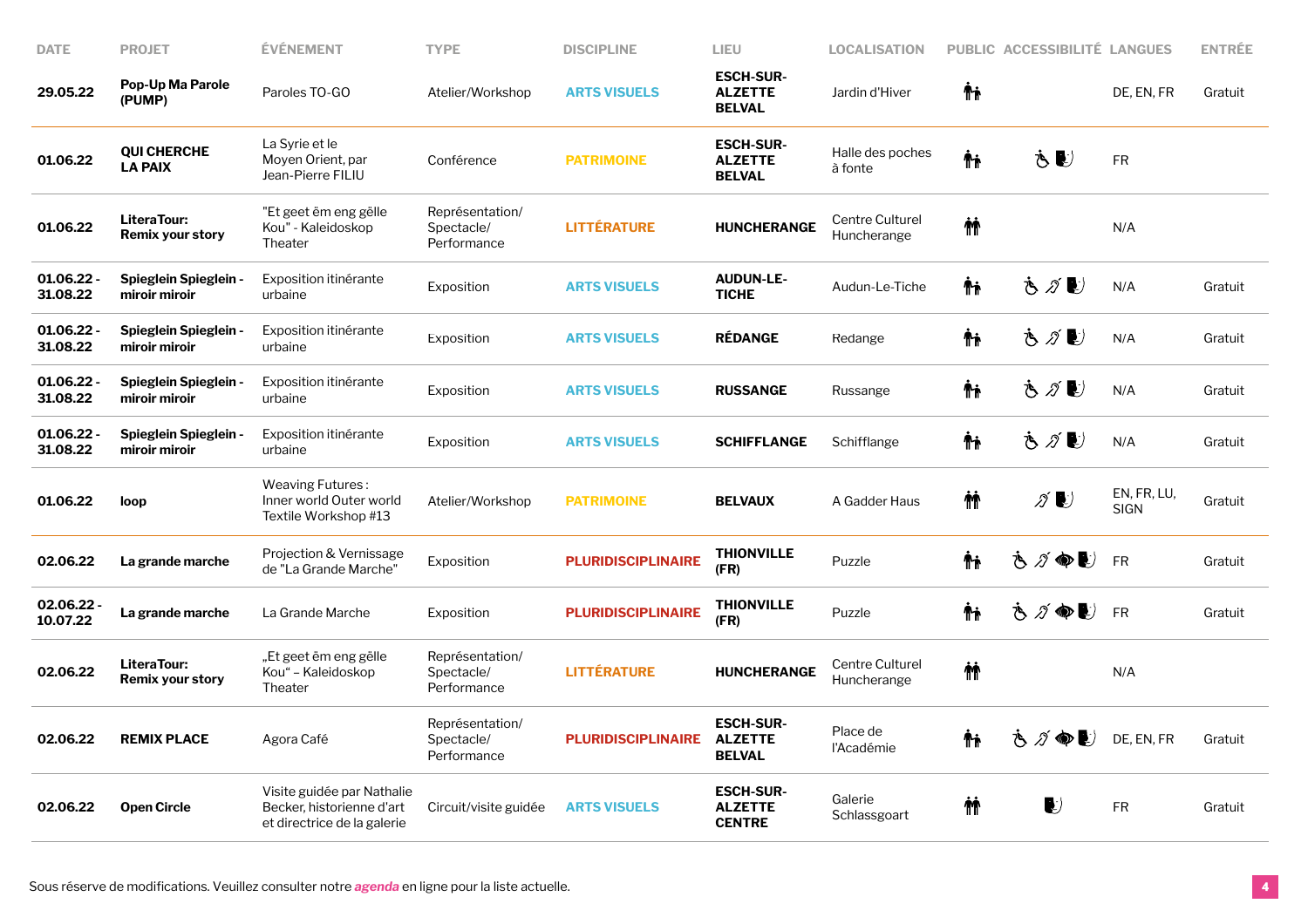| <b>DATE</b>              | <b>PROJET</b>                                 | <b>ÉVÉNEMENT</b>                                                                       | <b>TYPE</b>                                  | <b>DISCIPLINE</b>         | LIEU                                                | <b>LOCALISATION</b>            |          | PUBLIC ACCESSIBILITÉ LANGUES |                            | <b>ENTRÉE</b> |
|--------------------------|-----------------------------------------------|----------------------------------------------------------------------------------------|----------------------------------------------|---------------------------|-----------------------------------------------------|--------------------------------|----------|------------------------------|----------------------------|---------------|
| 29.05.22                 | Pop-Up Ma Parole<br>(PUMP)                    | Paroles TO-GO                                                                          | Atelier/Workshop                             | <b>ARTS VISUELS</b>       | <b>ESCH-SUR-</b><br><b>ALZETTE</b><br><b>BELVAL</b> | Jardin d'Hiver                 | ΨĻ       |                              | DE, EN, FR                 | Gratuit       |
| 01.06.22                 | <b>QUI CHERCHE</b><br><b>LA PAIX</b>          | La Syrie et le<br>Moyen Orient, par<br>Jean-Pierre FILIU                               | Conférence                                   | <b>PATRIMOINE</b>         | <b>ESCH-SUR-</b><br><b>ALZETTE</b><br>BELVAL        | Halle des poches<br>à fonte    | ΨĻ       | Ò €                          | ${\sf FR}$                 |               |
| 01.06.22                 | LiteraTour:<br><b>Remix your story</b>        | "Et geet ëm eng gëlle<br>Kou" - Kaleidoskop<br>Theater                                 | Représentation/<br>Spectacle/<br>Performance | <b>LITTÉRATURE</b>        | <b>HUNCHERANGE</b>                                  | Centre Culturel<br>Huncherange | <b>M</b> |                              | N/A                        |               |
| 01.06.22 -<br>31.08.22   | <b>Spieglein Spieglein -</b><br>miroir miroir | Exposition itinérante<br>urbaine                                                       | Exposition                                   | <b>ARTS VISUELS</b>       | <b>AUDUN-LE-</b><br><b>TICHE</b>                    | Audun-Le-Tiche                 | Ϋ́ħ      | も∥し                          | N/A                        | Gratuit       |
| 01.06.22 -<br>31.08.22   | <b>Spieglein Spieglein -</b><br>miroir miroir | Exposition itinérante<br>urbaine                                                       | Exposition                                   | <b>ARTS VISUELS</b>       | <b>RÉDANGE</b>                                      | Redange                        | Ψŗ       | ふ∥し                          | N/A                        | Gratuit       |
| 01.06.22<br>31.08.22     | <b>Spieglein Spieglein -</b><br>miroir miroir | Exposition itinérante<br>urbaine                                                       | Exposition                                   | <b>ARTS VISUELS</b>       | <b>RUSSANGE</b>                                     | Russange                       | Ψŗ       | さがむ                          | N/A                        | Gratuit       |
| $01.06.22 -$<br>31.08.22 | <b>Spieglein Spieglein -</b><br>miroir miroir | Exposition itinérante<br>urbaine                                                       | Exposition                                   | <b>ARTS VISUELS</b>       | <b>SCHIFFLANGE</b>                                  | Schifflange                    | Ψŗ       | さがむ                          | N/A                        | Gratuit       |
| 01.06.22                 | loop                                          | Weaving Futures:<br>Inner world Outer world<br>Textile Workshop #13                    | Atelier/Workshop                             | <b>PATRIMOINE</b>         | <b>BELVAUX</b>                                      | A Gadder Haus                  | 忦        | ∥∥                           | EN, FR, LU,<br><b>SIGN</b> | Gratuit       |
| 02.06.22                 | La grande marche                              | Projection & Vernissage<br>de "La Grande Marche"                                       | Exposition                                   | <b>PLURIDISCIPLINAIRE</b> | <b>THIONVILLE</b><br>(FR)                           | Puzzle                         | Ψŗ       | さづめし                         | <b>FR</b>                  | Gratuit       |
| 02.06.22 -<br>10.07.22   | La grande marche                              | La Grande Marche                                                                       | Exposition                                   | <b>PLURIDISCIPLINAIRE</b> | <b>THIONVILLE</b><br>(FR)                           | Puzzle                         | ΨĻ       | さグ●し                         | <b>FR</b>                  | Gratuit       |
| 02.06.22                 | LiteraTour:<br><b>Remix your story</b>        | "Et geet ëm eng gëlle<br>Kou" – Kaleidoskop<br>Theater                                 | Représentation/<br>Spectacle/<br>Performance | <b>LITTÉRATURE</b>        | <b>HUNCHERANGE</b>                                  | Centre Culturel<br>Huncherange | <b>M</b> |                              | N/A                        |               |
| 02.06.22                 | <b>REMIX PLACE</b>                            | Agora Café                                                                             | Représentation/<br>Spectacle/<br>Performance | <b>PLURIDISCIPLINAIRE</b> | <b>ESCH-SUR-</b><br><b>ALZETTE</b><br><b>BELVAL</b> | Place de<br>l'Académie         | Ψŗ       | さが●し                         | DE, EN, FR                 | Gratuit       |
| 02.06.22                 | <b>Open Circle</b>                            | Visite guidée par Nathalie<br>Becker, historienne d'art<br>et directrice de la galerie | Circuit/visite guidée                        | <b>ARTS VISUELS</b>       | <b>ESCH-SUR-</b><br><b>ALZETTE</b><br><b>CENTRE</b> | Galerie<br>Schlassgoart        | 林        | $\blacktriangleright$        | <b>FR</b>                  | Gratuit       |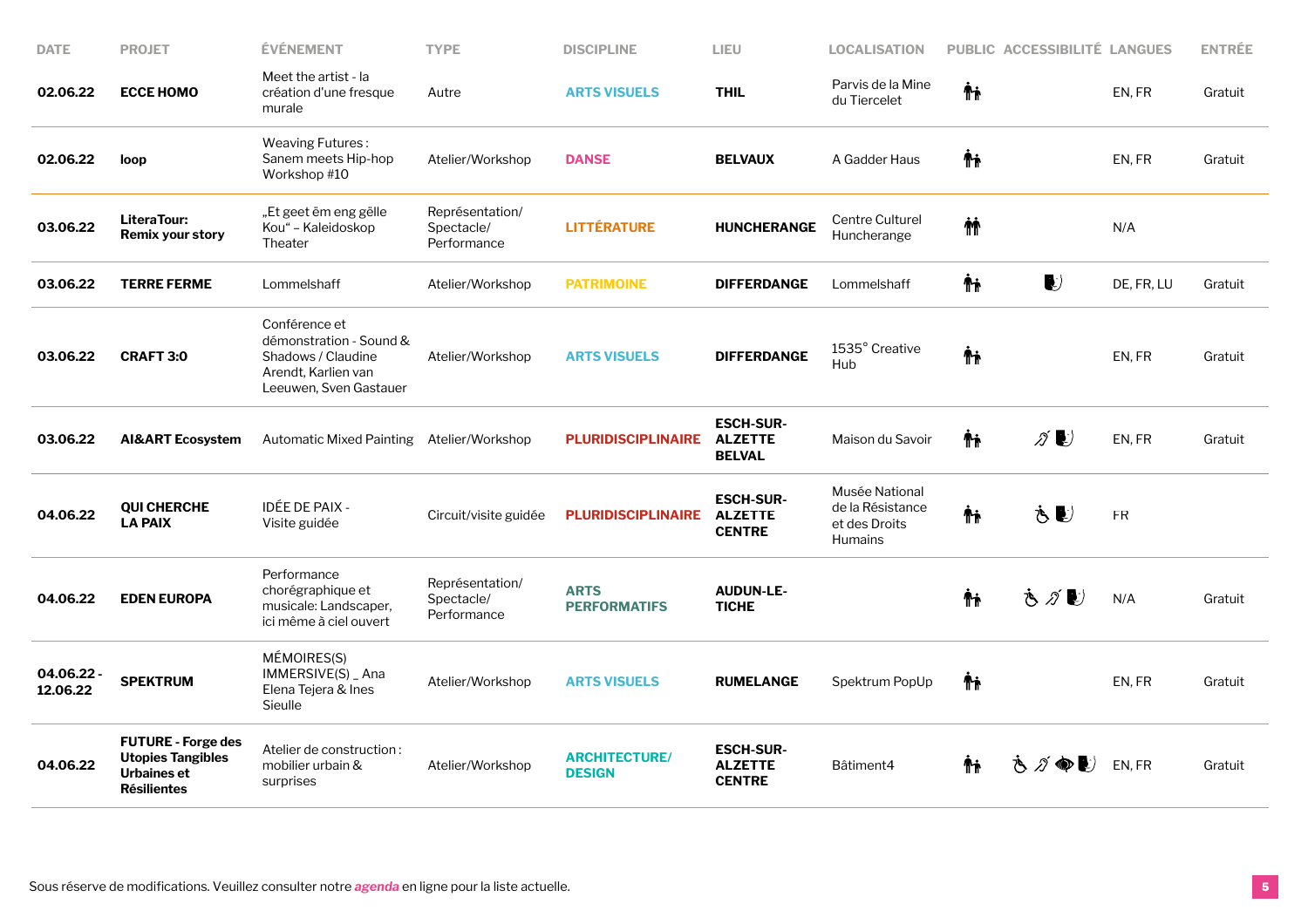| <b>DATE</b>            | <b>PROJET</b>                                                                              | <b>ÉVÉNEMENT</b>                                                                                                | <b>TYPE</b>                                  | <b>DISCIPLINE</b>                     | LIEU                                                | <b>LOCALISATION</b>                                            |    | PUBLIC ACCESSIBILITÉ LANGUES         |            | <b>ENTRÉE</b> |
|------------------------|--------------------------------------------------------------------------------------------|-----------------------------------------------------------------------------------------------------------------|----------------------------------------------|---------------------------------------|-----------------------------------------------------|----------------------------------------------------------------|----|--------------------------------------|------------|---------------|
| 02.06.22               | <b>ECCE HOMO</b>                                                                           | Meet the artist - la<br>création d'une fresque<br>murale                                                        | Autre                                        | <b>ARTS VISUELS</b>                   | <b>THIL</b>                                         | Parvis de la Mine<br>du Tiercelet                              | Ψŗ |                                      | EN, FR     | Gratuit       |
| 02.06.22               | loop                                                                                       | Weaving Futures:<br>Sanem meets Hip-hop<br>Workshop #10                                                         | Atelier/Workshop                             | <b>DANSE</b>                          | <b>BELVAUX</b>                                      | A Gadder Haus                                                  | Ψŗ |                                      | EN, FR     | Gratuit       |
| 03.06.22               | LiteraTour:<br><b>Remix your story</b>                                                     | "Et geet ëm eng gëlle<br>Kou" - Kaleidoskop<br>Theater                                                          | Représentation/<br>Spectacle/<br>Performance | <b>LITTÉRATURE</b>                    | <b>HUNCHERANGE</b>                                  | Centre Culturel<br>Huncherange                                 | 椾  |                                      | N/A        |               |
| 03.06.22               | <b>TERRE FERME</b>                                                                         | Lommelshaff                                                                                                     | Atelier/Workshop                             | <b>PATRIMOINE</b>                     | <b>DIFFERDANGE</b>                                  | Lommelshaff                                                    | Ψŗ | $\bullet$                            | DE, FR, LU | Gratuit       |
| 03.06.22               | <b>CRAFT 3:0</b>                                                                           | Conférence et<br>démonstration - Sound &<br>Shadows / Claudine<br>Arendt. Karlien van<br>Leeuwen, Sven Gastauer | Atelier/Workshop                             | <b>ARTS VISUELS</b>                   | <b>DIFFERDANGE</b>                                  | 1535° Creative<br>Hub                                          | Ψŗ |                                      | EN, FR     | Gratuit       |
| 03.06.22               | <b>AI&amp;ART Ecosystem</b>                                                                | Automatic Mixed Painting Atelier/Workshop                                                                       |                                              | <b>PLURIDISCIPLINAIRE</b>             | <b>ESCH-SUR-</b><br><b>ALZETTE</b><br><b>BELVAL</b> | Maison du Savoir                                               | Ψŗ | $\mathscr{D}$ $\blacktriangleright$  | EN, FR     | Gratuit       |
| 04.06.22               | <b>QUI CHERCHE</b><br><b>LA PAIX</b>                                                       | IDÉE DE PAIX -<br>Visite guidée                                                                                 | Circuit/visite guidée                        | <b>PLURIDISCIPLINAIRE</b>             | <b>ESCH-SUR-</b><br><b>ALZETTE</b><br><b>CENTRE</b> | Musée National<br>de la Résistance<br>et des Droits<br>Humains | Ψŗ | もむ                                   | ${\sf FR}$ |               |
| 04.06.22               | <b>EDEN EUROPA</b>                                                                         | Performance<br>chorégraphique et<br>musicale: Landscaper,<br>ici même à ciel ouvert                             | Représentation/<br>Spectacle/<br>Performance | <b>ARTS</b><br><b>PERFORMATIFS</b>    | <b>AUDUN-LE-</b><br><b>TICHE</b>                    |                                                                | ΨĻ | さがじ                                  | N/A        | Gratuit       |
| 04.06.22 -<br>12.06.22 | <b>SPEKTRUM</b>                                                                            | MÉMOIRES(S)<br>IMMERSIVE(S) _ Ana<br>Elena Tejera & Ines<br>Sieulle                                             | Atelier/Workshop                             | <b>ARTS VISUELS</b>                   | <b>RUMELANGE</b>                                    | Spektrum PopUp                                                 | Ψŗ |                                      | EN.FR      | Gratuit       |
| 04.06.22               | <b>FUTURE - Forge des</b><br><b>Utopies Tangibles</b><br>Urbaines et<br><b>Résilientes</b> | Atelier de construction:<br>mobilier urbain &<br>surprises                                                      | Atelier/Workshop                             | <b>ARCHITECTURE/</b><br><b>DESIGN</b> | <b>ESCH-SUR-</b><br><b>ALZETTE</b><br><b>CENTRE</b> | Bâtiment4                                                      | Ψŧ | $\varnothing \bullet \bullet$<br>79. | EN, FR     | Gratuit       |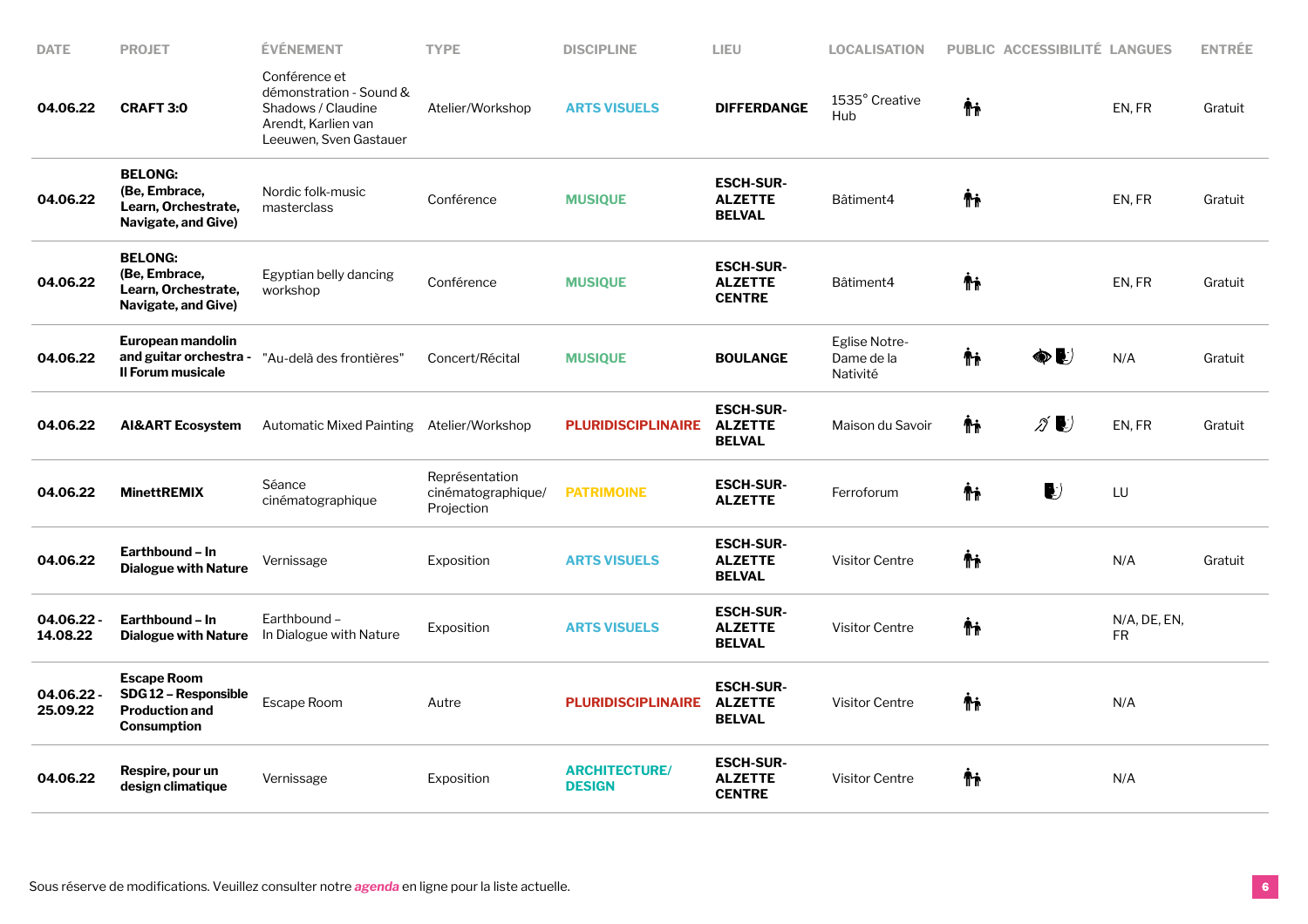| <b>DATE</b>            | <b>PROJET</b>                                                                            | ÉVÉNEMENT                                                                                                       | <b>TYPE</b>                                        | <b>DISCIPLINE</b>                     | LIEU                                                | <b>LOCALISATION</b>                     | <b>PUBLIC ACCESSIBILITÉ LANGUES</b>       |                    | <b>ENTRÉE</b> |
|------------------------|------------------------------------------------------------------------------------------|-----------------------------------------------------------------------------------------------------------------|----------------------------------------------------|---------------------------------------|-----------------------------------------------------|-----------------------------------------|-------------------------------------------|--------------------|---------------|
| 04.06.22               | <b>CRAFT 3:0</b>                                                                         | Conférence et<br>démonstration - Sound &<br>Shadows / Claudine<br>Arendt, Karlien van<br>Leeuwen, Sven Gastauer | Atelier/Workshop                                   | <b>ARTS VISUELS</b>                   | <b>DIFFERDANGE</b>                                  | 1535° Creative<br>Hub                   | Ψŗ                                        | EN, FR             | Gratuit       |
| 04.06.22               | <b>BELONG:</b><br>(Be, Embrace,<br>Learn, Orchestrate,<br>Navigate, and Give)            | Nordic folk-music<br>masterclass                                                                                | Conférence                                         | <b>MUSIQUE</b>                        | <b>ESCH-SUR-</b><br><b>ALZETTE</b><br><b>BELVAL</b> | Bâtiment4                               | Ψŗ                                        | EN, FR             | Gratuit       |
| 04.06.22               | <b>BELONG:</b><br>(Be, Embrace,<br>Learn, Orchestrate,<br>Navigate, and Give)            | Egyptian belly dancing<br>workshop                                                                              | Conférence                                         | <b>MUSIQUE</b>                        | <b>ESCH-SUR-</b><br><b>ALZETTE</b><br><b>CENTRE</b> | Bâtiment4                               | ΨĻ                                        | EN, FR             | Gratuit       |
| 04.06.22               | European mandolin<br>and guitar orchestra -<br><b>Il Forum musicale</b>                  | "Au-delà des frontières"                                                                                        | Concert/Récital                                    | <b>MUSIQUE</b>                        | <b>BOULANGE</b>                                     | Eglise Notre-<br>Dame de la<br>Nativité | Ψŗ<br>$\circledast$                       | N/A                | Gratuit       |
| 04.06.22               | <b>AI&amp;ART Ecosystem</b>                                                              | Automatic Mixed Painting Atelier/Workshop                                                                       |                                                    | <b>PLURIDISCIPLINAIRE</b>             | <b>ESCH-SUR-</b><br><b>ALZETTE</b><br><b>BELVAL</b> | Maison du Savoir                        | Ψŗ<br>$\mathscr{Z}$ $\blacktriangleright$ | EN, FR             | Gratuit       |
| 04.06.22               | <b>MinettREMIX</b>                                                                       | Séance<br>cinématographique                                                                                     | Représentation<br>cinématographique/<br>Projection | <b>PATRIMOINE</b>                     | <b>ESCH-SUR-</b><br><b>ALZETTE</b>                  | Ferroforum                              | Ψŗ<br>$\mathbf{v}$                        | LU                 |               |
| 04.06.22               | Earthbound - In<br><b>Dialogue with Nature</b>                                           | Vernissage                                                                                                      | Exposition                                         | <b>ARTS VISUELS</b>                   | <b>ESCH-SUR-</b><br><b>ALZETTE</b><br><b>BELVAL</b> | <b>Visitor Centre</b>                   | Ψŗ                                        | N/A                | Gratuit       |
| 04.06.22 -<br>14.08.22 | Earthbound – In<br><b>Dialogue with Nature</b>                                           | Earthbound-<br>In Dialogue with Nature                                                                          | Exposition                                         | <b>ARTS VISUELS</b>                   | <b>ESCH-SUR-</b><br><b>ALZETTE</b><br><b>BELVAL</b> | <b>Visitor Centre</b>                   | Ψŗ                                        | N/A, DE, EN,<br>FR |               |
| 04.06.22 -<br>25.09.22 | <b>Escape Room</b><br>SDG12 - Responsible<br><b>Production and</b><br><b>Consumption</b> | Escape Room                                                                                                     | Autre                                              | <b>PLURIDISCIPLINAIRE</b>             | <b>ESCH-SUR-</b><br><b>ALZETTE</b><br><b>BELVAL</b> | <b>Visitor Centre</b>                   | Ψŗ                                        | N/A                |               |
| 04.06.22               | Respire, pour un<br>design climatique                                                    | Vernissage                                                                                                      | Exposition                                         | <b>ARCHITECTURE/</b><br><b>DESIGN</b> | <b>ESCH-SUR-</b><br><b>ALZETTE</b><br><b>CENTRE</b> | <b>Visitor Centre</b>                   | Ψŗ                                        | N/A                |               |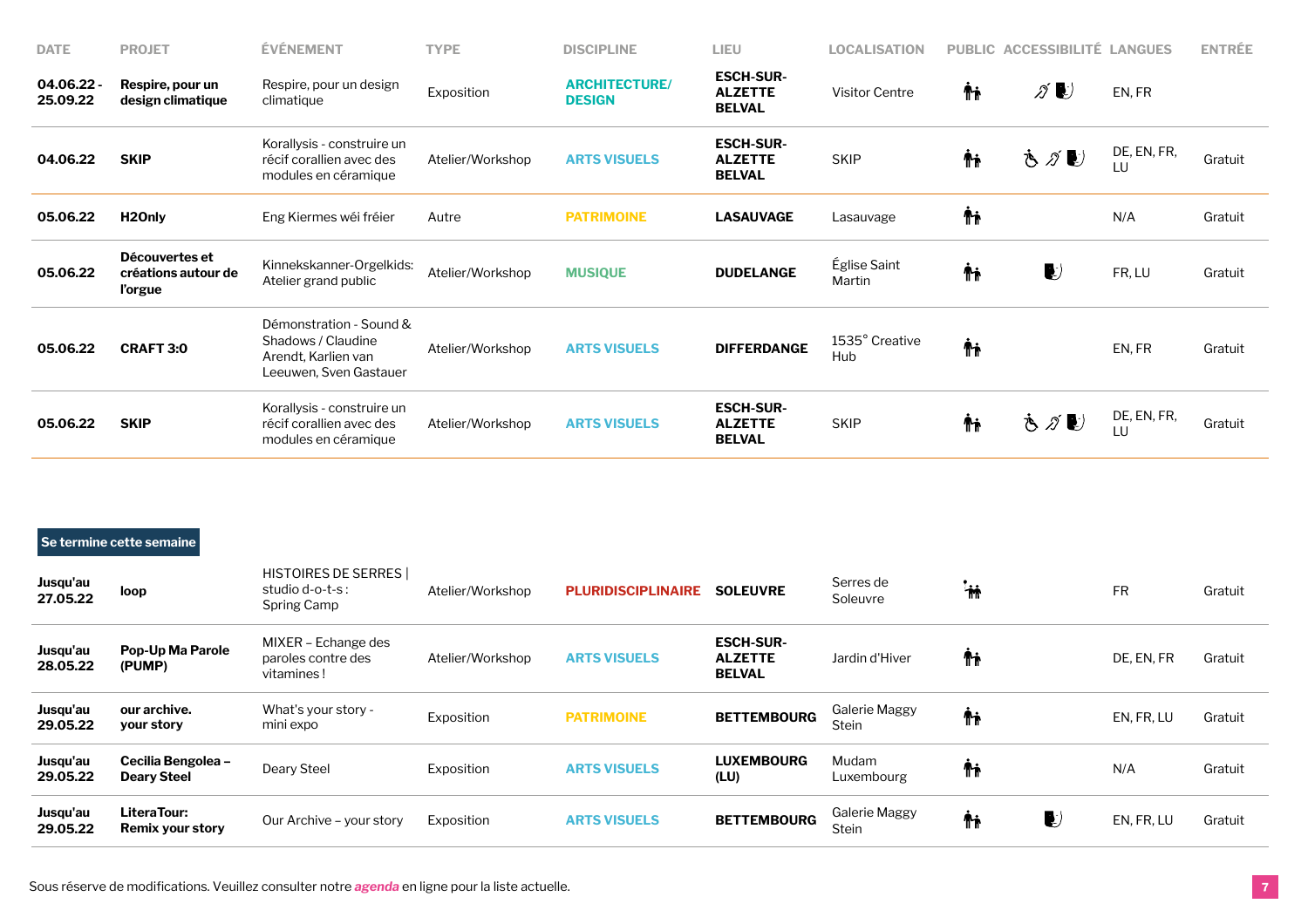| <b>DATE</b>          | <b>PROJET</b>                                    | <b>EVENEMENT</b>                                                                               | <b>TYPE</b>      | <b>DISCIPLINE</b>                     | LIEU                                                | <b>LOCALISATION</b>    |    | PUBLIC ACCESSIBILITÉ LANGUES |                   | <b>ENTRÉE</b> |
|----------------------|--------------------------------------------------|------------------------------------------------------------------------------------------------|------------------|---------------------------------------|-----------------------------------------------------|------------------------|----|------------------------------|-------------------|---------------|
| 04.06.22<br>25.09.22 | Respire, pour un<br>design climatique            | Respire, pour un design<br>climatique                                                          | Exposition       | <b>ARCHITECTURE/</b><br><b>DESIGN</b> | <b>ESCH-SUR-</b><br><b>ALZETTE</b><br><b>BELVAL</b> | Visitor Centre         | Ťħ | ∥∥                           | EN, FR            |               |
| 04.06.22             | <b>SKIP</b>                                      | Korallysis - construire un<br>récif corallien avec des<br>modules en céramique                 | Atelier/Workshop | <b>ARTS VISUELS</b>                   | <b>ESCH-SUR-</b><br><b>ALZETTE</b><br><b>BELVAL</b> | <b>SKIP</b>            | ᡮᡝ | もがじ                          | DE, EN, FR,<br>LU | Gratuit       |
| 05.06.22             | H <sub>2</sub> Only                              | Eng Kiermes wéi fréier                                                                         | Autre            | <b>PATRIMOINE</b>                     | <b>LASAUVAGE</b>                                    | Lasauvage              | Ťŧ |                              | N/A               | Gratuit       |
| 05.06.22             | Découvertes et<br>créations autour de<br>l'orgue | Kinnekskanner-Orgelkids:<br>Atelier grand public                                               | Atelier/Workshop | <b>MUSIQUE</b>                        | <b>DUDELANGE</b>                                    | Église Saint<br>Martin | Ψŗ | $\blacktriangleright$        | FR, LU            | Gratuit       |
| 05.06.22             | <b>CRAFT 3:0</b>                                 | Démonstration - Sound &<br>Shadows / Claudine<br>Arendt, Karlien van<br>Leeuwen, Sven Gastauer | Atelier/Workshop | <b>ARTS VISUELS</b>                   | <b>DIFFERDANGE</b>                                  | 1535° Creative<br>Hub  | Ψŗ |                              | EN, FR            | Gratuit       |
| 05.06.22             | <b>SKIP</b>                                      | Korallysis - construire un<br>récif corallien avec des<br>modules en céramique                 | Atelier/Workshop | <b>ARTS VISUELS</b>                   | <b>ESCH-SUR-</b><br><b>ALZETTE</b><br><b>BELVAL</b> | <b>SKIP</b>            | Ψŗ | もがじ                          | DE, EN, FR,<br>LU | Gratuit       |

## **Se termine cette semaine**

| Jusqu'au<br>27.05.22 | loop                                     | <b>HISTOIRES DE SERRES</b><br>studio $d$ -o-t-s :<br>Spring Camp | Atelier/Workshop | <b>PLURIDISCIPLINAIRE</b> | <b>SOLEUVRE</b>                                     | Serres de<br>Soleuvre         | <b>in</b> |   | <b>FR</b>  | Gratuit |
|----------------------|------------------------------------------|------------------------------------------------------------------|------------------|---------------------------|-----------------------------------------------------|-------------------------------|-----------|---|------------|---------|
| Jusqu'au<br>28.05.22 | Pop-Up Ma Parole<br>(PUMP)               | MIXER – Echange des<br>paroles contre des<br>vitamines!          | Atelier/Workshop | <b>ARTS VISUELS</b>       | <b>ESCH-SUR-</b><br><b>ALZETTE</b><br><b>BELVAL</b> | Jardin d'Hiver                | Ψŗ        |   | DE. EN. FR | Gratuit |
| Jusqu'au<br>29.05.22 | our archive.<br>your story               | What's your story -<br>mini expo                                 | Exposition       | <b>PATRIMOINE</b>         | <b>BETTEMBOURG</b>                                  | Galerie Maggy<br><b>Stein</b> | Ψŗ        |   | EN, FR, LU | Gratuit |
| Jusqu'au<br>29.05.22 | Cecilia Bengolea -<br><b>Deary Steel</b> | Deary Steel                                                      | Exposition       | <b>ARTS VISUELS</b>       | <b>LUXEMBOURG</b><br>(LU)                           | Mudam<br>Luxembourg           | Ψŗ        |   | N/A        | Gratuit |
| Jusqu'au<br>29.05.22 | LiteraTour:<br>Remix your story          | Our Archive - your story                                         | Exposition       | <b>ARTS VISUELS</b>       | <b>BETTEMBOURG</b>                                  | Galerie Maggy<br>Stein        | Ψŗ        | L | EN, FR, LU | Gratuit |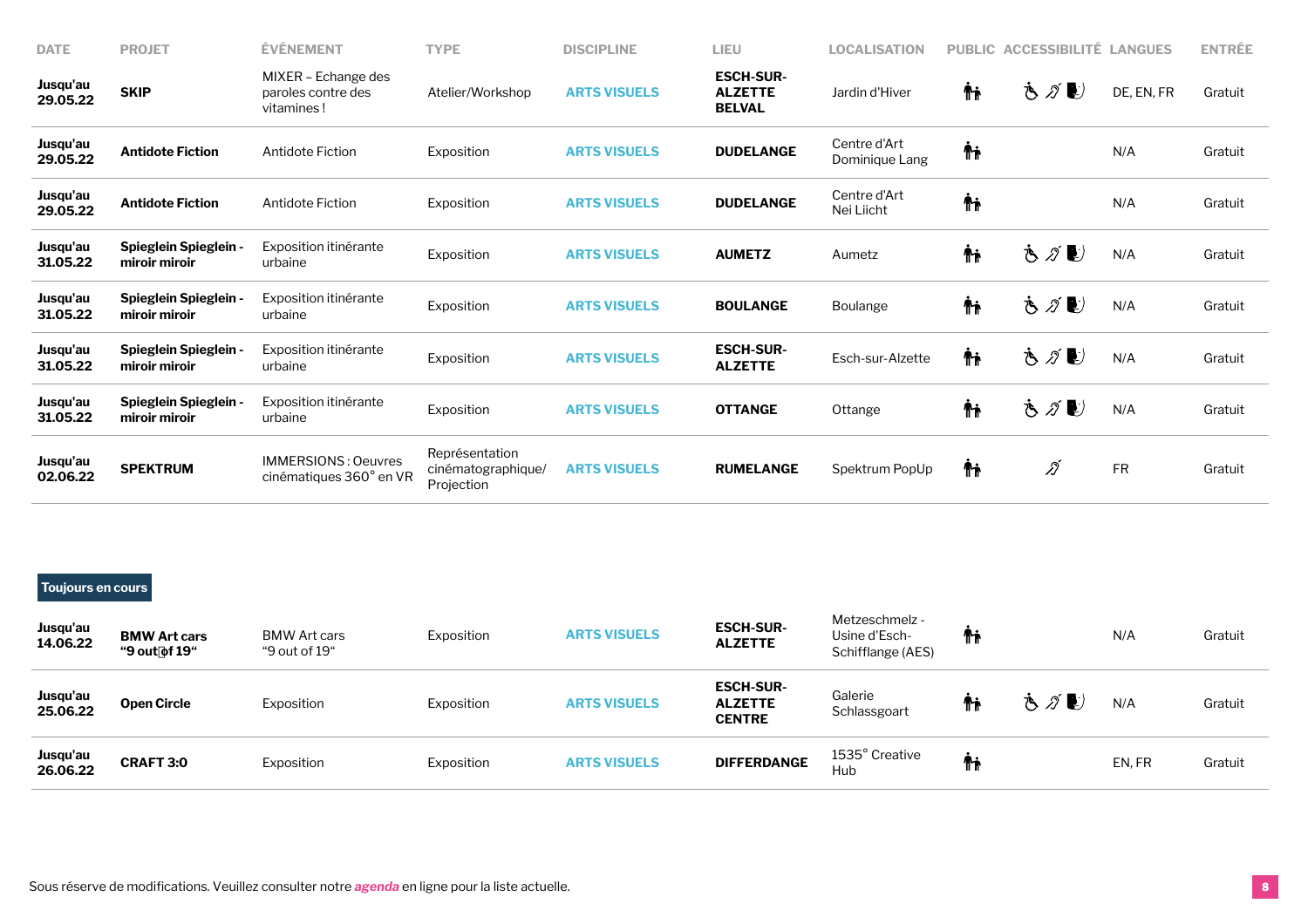| <b>DATE</b>          | <b>PROJET</b>                                 | <b>EVENEMENT</b>                                        | <b>TYPE</b>                                        | <b>DISCIPLINE</b>   | LIEU                                                | <b>LOCALISATION</b>            |    | PUBLIC ACCESSIBILITÉ LANGUES |            | <b>ENTRÉE</b> |
|----------------------|-----------------------------------------------|---------------------------------------------------------|----------------------------------------------------|---------------------|-----------------------------------------------------|--------------------------------|----|------------------------------|------------|---------------|
| Jusqu'au<br>29.05.22 | <b>SKIP</b>                                   | MIXER - Echange des<br>paroles contre des<br>vitamines! | Atelier/Workshop                                   | <b>ARTS VISUELS</b> | <b>ESCH-SUR-</b><br><b>ALZETTE</b><br><b>BELVAL</b> | Jardin d'Hiver                 | Ťi | もグじ                          | DE, EN, FR | Gratuit       |
| Jusqu'au<br>29.05.22 | <b>Antidote Fiction</b>                       | Antidote Fiction                                        | Exposition                                         | <b>ARTS VISUELS</b> | <b>DUDELANGE</b>                                    | Centre d'Art<br>Dominique Lang | Ψŗ |                              | N/A        | Gratuit       |
| Jusqu'au<br>29.05.22 | <b>Antidote Fiction</b>                       | Antidote Fiction                                        | Exposition                                         | <b>ARTS VISUELS</b> | <b>DUDELANGE</b>                                    | Centre d'Art<br>Nei Liicht     | Ψŗ |                              | N/A        | Gratuit       |
| Jusqu'au<br>31.05.22 | <b>Spieglein Spieglein -</b><br>miroir miroir | Exposition itinérante<br>urbaine                        | Exposition                                         | <b>ARTS VISUELS</b> | <b>AUMETZ</b>                                       | Aumetz                         | Ťi | もグじ                          | N/A        | Gratuit       |
| Jusqu'au<br>31.05.22 | <b>Spieglein Spieglein -</b><br>miroir miroir | Exposition itinérante<br>urbaine                        | Exposition                                         | <b>ARTS VISUELS</b> | <b>BOULANGE</b>                                     | Boulange                       | Ψŗ | さがじ                          | N/A        | Gratuit       |
| Jusqu'au<br>31.05.22 | <b>Spieglein Spieglein -</b><br>miroir miroir | Exposition itinérante<br>urbaine                        | Exposition                                         | <b>ARTS VISUELS</b> | <b>ESCH-SUR-</b><br><b>ALZETTE</b>                  | Esch-sur-Alzette               | Ψŗ | もグじ                          | N/A        | Gratuit       |
| Jusqu'au<br>31.05.22 | <b>Spieglein Spieglein -</b><br>miroir miroir | Exposition itinérante<br>urbaine                        | Exposition                                         | <b>ARTS VISUELS</b> | <b>OTTANGE</b>                                      | Ottange                        | Ψŗ | もグじ                          | N/A        | Gratuit       |
| Jusqu'au<br>02.06.22 | <b>SPEKTRUM</b>                               | <b>IMMERSIONS: Oeuvres</b><br>cinématiques 360° en VR   | Représentation<br>cinématographique/<br>Projection | <b>ARTS VISUELS</b> | <b>RUMELANGE</b>                                    | Spektrum PopUp                 | Ťi | Ñ                            | <b>FR</b>  | Gratuit       |

## **Toujours en cours**

| Jusqu'au<br>14.06.22 | <b>BMW Art cars</b><br>"9 out of 19" | <b>BMW Art cars</b><br>"9 out of 19" | Exposition | <b>ARTS VISUELS</b> | <b>ESCH-SUR-</b><br><b>ALZETTE</b>                  | Metzeschmelz -<br>Usine d'Esch-<br>Schifflange (AES) | Ti |     | N/A   | Gratuit |
|----------------------|--------------------------------------|--------------------------------------|------------|---------------------|-----------------------------------------------------|------------------------------------------------------|----|-----|-------|---------|
| Jusqu'au<br>25.06.22 | <b>Open Circle</b>                   | Exposition                           | Exposition | <b>ARTS VISUELS</b> | <b>ESCH-SUR-</b><br><b>ALZETTE</b><br><b>CENTRE</b> | Galerie<br>Schlassgoart                              | Λi | さがし | N/A   | Gratuit |
| Jusqu'au<br>26.06.22 | <b>CRAFT 3:0</b>                     | Exposition                           | Exposition | <b>ARTS VISUELS</b> | <b>DIFFERDANGE</b>                                  | 1535° Creative<br>Hub                                | Ťŧ |     | EN.FR | Gratuit |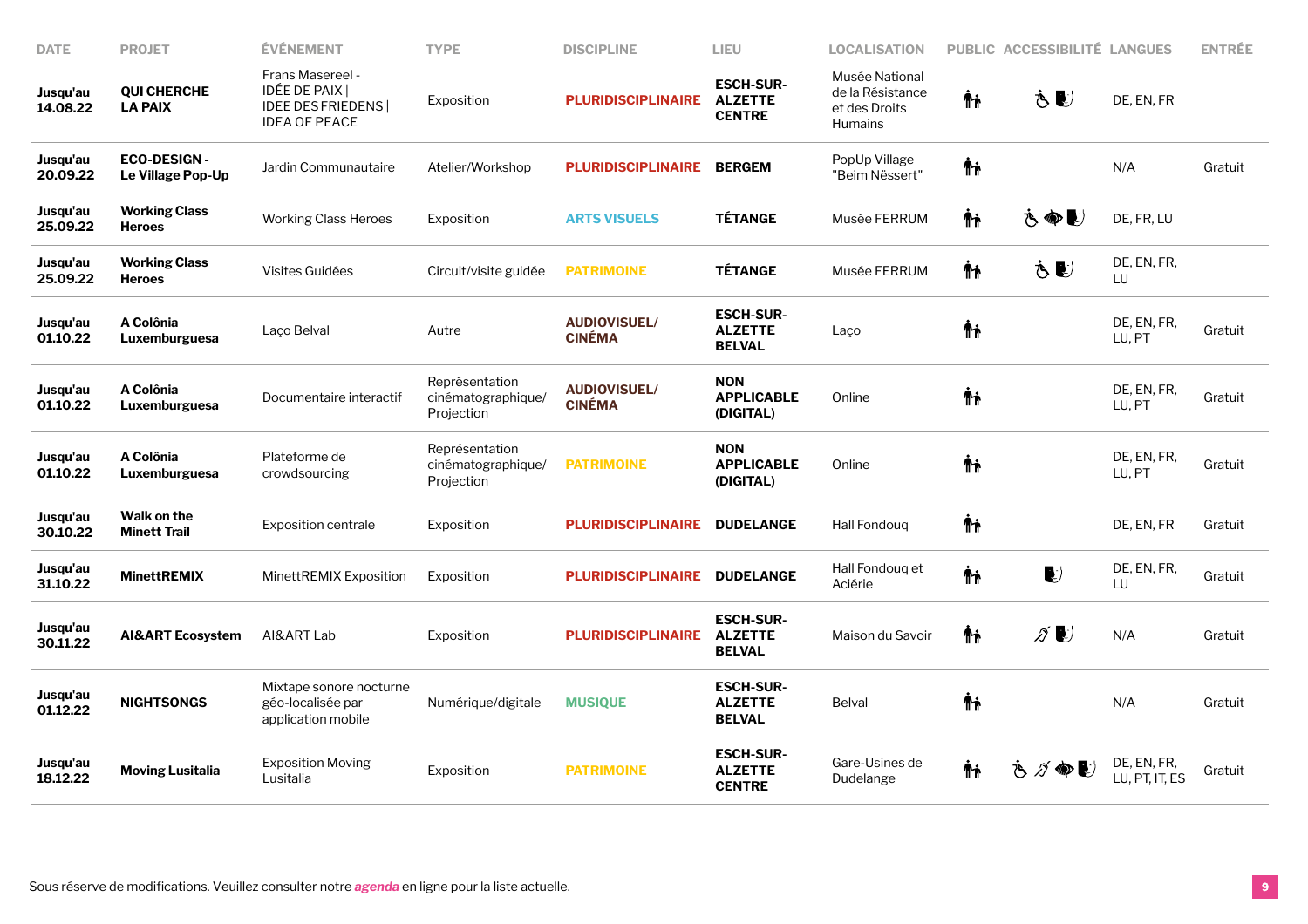| <b>DATE</b>          | <b>PROJET</b>                           | ÉVÉNEMENT                                                                            | <b>TYPE</b>                                        | <b>DISCIPLINE</b>                    | LIEU                                                | <b>LOCALISATION</b>                                                   |     | PUBLIC ACCESSIBILITÉ LANGUES        |                               | <b>ENTRÉE</b> |
|----------------------|-----------------------------------------|--------------------------------------------------------------------------------------|----------------------------------------------------|--------------------------------------|-----------------------------------------------------|-----------------------------------------------------------------------|-----|-------------------------------------|-------------------------------|---------------|
| Jusqu'au<br>14.08.22 | <b>QUI CHERCHE</b><br><b>LA PAIX</b>    | Frans Masereel -<br>IDÉE DE PAIX<br><b>IDEE DES FRIEDENS</b><br><b>IDEA OF PEACE</b> | Exposition                                         | <b>PLURIDISCIPLINAIRE</b>            | <b>ESCH-SUR-</b><br><b>ALZETTE</b><br><b>CENTRE</b> | Musée National<br>de la Résistance<br>et des Droits<br><b>Humains</b> | Ϋ́ħ | Ò €                                 | DE, EN, FR                    |               |
| Jusqu'au<br>20.09.22 | <b>ECO-DESIGN-</b><br>Le Village Pop-Up | Jardin Communautaire                                                                 | Atelier/Workshop                                   | <b>PLURIDISCIPLINAIRE</b>            | <b>BERGEM</b>                                       | PopUp Village<br>"Beim Nëssert"                                       | ΨĻ  |                                     | N/A                           | Gratuit       |
| Jusqu'au<br>25.09.22 | <b>Working Class</b><br><b>Heroes</b>   | <b>Working Class Heroes</b>                                                          | Exposition                                         | <b>ARTS VISUELS</b>                  | <b>TÉTANGE</b>                                      | Musée FERRUM                                                          | Ψŗ  | 古命じ                                 | DE, FR, LU                    |               |
| Jusqu'au<br>25.09.22 | <b>Working Class</b><br><b>Heroes</b>   | Visites Guidées                                                                      | Circuit/visite guidée                              | <b>PATRIMOINE</b>                    | <b>TÉTANGE</b>                                      | Musée FERRUM                                                          | Ϋ́  | خ کا                                | DE, EN, FR,<br>LU             |               |
| Jusqu'au<br>01.10.22 | A Colônia<br>Luxemburguesa              | Laço Belval                                                                          | Autre                                              | <b>AUDIOVISUEL/</b><br><b>CINÉMA</b> | <b>ESCH-SUR-</b><br><b>ALZETTE</b><br><b>BELVAL</b> | Laço                                                                  | Ψŗ  |                                     | DE, EN, FR,<br>LU, PT         | Gratuit       |
| Jusqu'au<br>01.10.22 | A Colônia<br>Luxemburguesa              | Documentaire interactif                                                              | Représentation<br>cinématographique/<br>Projection | <b>AUDIOVISUEL/</b><br><b>CINÉMA</b> | <b>NON</b><br><b>APPLICABLE</b><br>(DIGITAL)        | Online                                                                | Ψŗ  |                                     | DE, EN, FR,<br>LU, PT         | Gratuit       |
| Jusqu'au<br>01.10.22 | A Colônia<br>Luxemburguesa              | Plateforme de<br>crowdsourcing                                                       | Représentation<br>cinématographique/<br>Projection | <b>PATRIMOINE</b>                    | <b>NON</b><br><b>APPLICABLE</b><br>(DIGITAL)        | Online                                                                | Ψŗ  |                                     | DE, EN, FR,<br>LU, PT         | Gratuit       |
| Jusqu'au<br>30.10.22 | Walk on the<br><b>Minett Trail</b>      | Exposition centrale                                                                  | Exposition                                         | <b>PLURIDISCIPLINAIRE</b>            | <b>DUDELANGE</b>                                    | Hall Fondoug                                                          | Ψŗ  |                                     | DE, EN, FR                    | Gratuit       |
| Jusqu'au<br>31.10.22 | <b>MinettREMIX</b>                      | MinettREMIX Exposition                                                               | Exposition                                         | <b>PLURIDISCIPLINAIRE</b>            | <b>DUDELANGE</b>                                    | Hall Fondoug et<br>Aciérie                                            | Ψŗ  | $\blacktriangleright$               | DE, EN, FR,<br>LU             | Gratuit       |
| Jusqu'au<br>30.11.22 | <b>AI&amp;ART Ecosystem</b>             | AI&ART Lab                                                                           | Exposition                                         | <b>PLURIDISCIPLINAIRE</b>            | <b>ESCH-SUR-</b><br><b>ALZETTE</b><br><b>BELVAL</b> | Maison du Savoir                                                      | Ψŗ  | $\mathscr{D}$ $\blacktriangleright$ | N/A                           | Gratuit       |
| Jusqu'au<br>01.12.22 | <b>NIGHTSONGS</b>                       | Mixtape sonore nocturne<br>géo-localisée par<br>application mobile                   | Numérique/digitale                                 | <b>MUSIQUE</b>                       | <b>ESCH-SUR-</b><br><b>ALZETTE</b><br><b>BELVAL</b> | <b>Belval</b>                                                         | Ψŗ  |                                     | N/A                           | Gratuit       |
| Jusqu'au<br>18.12.22 | <b>Moving Lusitalia</b>                 | <b>Exposition Moving</b><br>Lusitalia                                                | Exposition                                         | <b>PATRIMOINE</b>                    | <b>ESCH-SUR-</b><br><b>ALZETTE</b><br><b>CENTRE</b> | Gare-Usines de<br>Dudelange                                           | Ψŗ  | さグ●し                                | DE, EN, FR,<br>LU, PT, IT, ES | Gratuit       |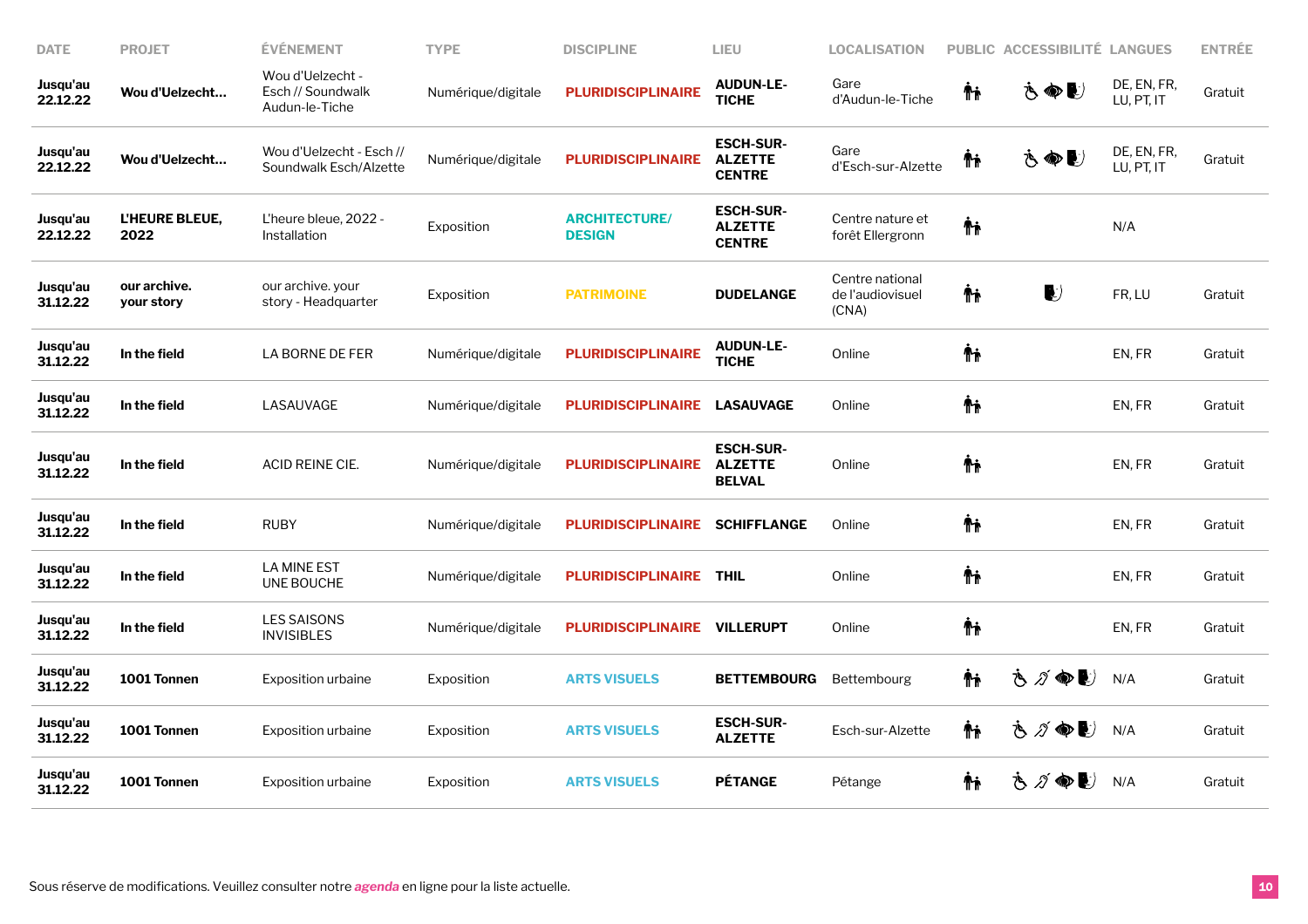| <b>DATE</b>          | <b>PROJET</b>              | <b>ÉVÉNEMENT</b>                                        | <b>TYPE</b>        | <b>DISCIPLINE</b>                     | LIEU                                                | <b>LOCALISATION</b>                          | <b>PUBLIC</b> | <b>ACCESSIBILITÉ LANGUES</b> |                           | <b>ENTRÉE</b> |
|----------------------|----------------------------|---------------------------------------------------------|--------------------|---------------------------------------|-----------------------------------------------------|----------------------------------------------|---------------|------------------------------|---------------------------|---------------|
| Jusqu'au<br>22.12.22 | Wou d'Uelzecht             | Wou d'Uelzecht -<br>Esch // Soundwalk<br>Audun-le-Tiche | Numérique/digitale | <b>PLURIDISCIPLINAIRE</b>             | <b>AUDUN-LE-</b><br><b>TICHE</b>                    | Gare<br>d'Audun-le-Tiche                     | Ψŗ            | さぬし                          | DE, EN, FR,<br>LU, PT, IT | Gratuit       |
| Jusqu'au<br>22.12.22 | Wou d'Uelzecht             | Wou d'Uelzecht - Esch //<br>Soundwalk Esch/Alzette      | Numérique/digitale | <b>PLURIDISCIPLINAIRE</b>             | <b>ESCH-SUR-</b><br><b>ALZETTE</b><br><b>CENTRE</b> | Gare<br>d'Esch-sur-Alzette                   | Ťŧ            | さぬし                          | DE, EN, FR,<br>LU, PT, IT | Gratuit       |
| Jusqu'au<br>22.12.22 | L'HEURE BLEUE,<br>2022     | L'heure bleue, 2022 -<br>Installation                   | Exposition         | <b>ARCHITECTURE/</b><br><b>DESIGN</b> | <b>ESCH-SUR-</b><br><b>ALZETTE</b><br><b>CENTRE</b> | Centre nature et<br>forêt Ellergronn         | Ψŗ            |                              | N/A                       |               |
| Jusqu'au<br>31.12.22 | our archive.<br>your story | our archive. your<br>story - Headquarter                | Exposition         | <b>PATRIMOINE</b>                     | <b>DUDELANGE</b>                                    | Centre national<br>de l'audiovisuel<br>(CNA) | Ψŗ            | $\blacktriangleright$        | FR, LU                    | Gratuit       |
| Jusqu'au<br>31.12.22 | In the field               | LA BORNE DE FER                                         | Numérique/digitale | <b>PLURIDISCIPLINAIRE</b>             | <b>AUDUN-LE-</b><br><b>TICHE</b>                    | Online                                       | Ψŗ            |                              | EN, FR                    | Gratuit       |
| Jusqu'au<br>31.12.22 | In the field               | LASAUVAGE                                               | Numérique/digitale | <b>PLURIDISCIPLINAIRE</b>             | <b>LASAUVAGE</b>                                    | Online                                       | Ψŗ            |                              | EN, FR                    | Gratuit       |
| Jusqu'au<br>31.12.22 | In the field               | ACID REINE CIE.                                         | Numérique/digitale | <b>PLURIDISCIPLINAIRE</b>             | <b>ESCH-SUR-</b><br><b>ALZETTE</b><br><b>BELVAL</b> | Online                                       | Ψŗ            |                              | EN, FR                    | Gratuit       |
| Jusqu'au<br>31.12.22 | In the field               | RUBY                                                    | Numérique/digitale | <b>PLURIDISCIPLINAIRE</b>             | <b>SCHIFFLANGE</b>                                  | Online                                       | Ψŗ            |                              | EN, FR                    | Gratuit       |
| Jusqu'au<br>31.12.22 | In the field               | <b>LA MINE EST</b><br>UNE BOUCHE                        | Numérique/digitale | <b>PLURIDISCIPLINAIRE</b>             | <b>THIL</b>                                         | Online                                       | Ψŗ            |                              | EN, FR                    | Gratuit       |
| Jusqu'au<br>31.12.22 | In the field               | <b>LES SAISONS</b><br><b>INVISIBLES</b>                 | Numérique/digitale | <b>PLURIDISCIPLINAIRE</b>             | <b>VILLERUPT</b>                                    | Online                                       | ΨĻ            |                              | EN, FR                    | Gratuit       |
| Jusqu'au<br>31.12.22 | 1001 Tonnen                | Exposition urbaine                                      | Exposition         | <b>ARTS VISUELS</b>                   | <b>BETTEMBOURG</b>                                  | Bettembourg                                  | Ψŗ            | さが●し                         | N/A                       | Gratuit       |
| Jusqu'au<br>31.12.22 | 1001 Tonnen                | <b>Exposition urbaine</b>                               | Exposition         | <b>ARTS VISUELS</b>                   | <b>ESCH-SUR-</b><br><b>ALZETTE</b>                  | Esch-sur-Alzette                             | Ψŗ            | さグ●し                         | N/A                       | Gratuit       |
| Jusqu'au<br>31.12.22 | 1001 Tonnen                | <b>Exposition urbaine</b>                               | Exposition         | <b>ARTS VISUELS</b>                   | <b>PÉTANGE</b>                                      | Pétange                                      | ΨĻ            | さづゆし                         | N/A                       | Gratuit       |
|                      |                            |                                                         |                    |                                       |                                                     |                                              |               |                              |                           |               |